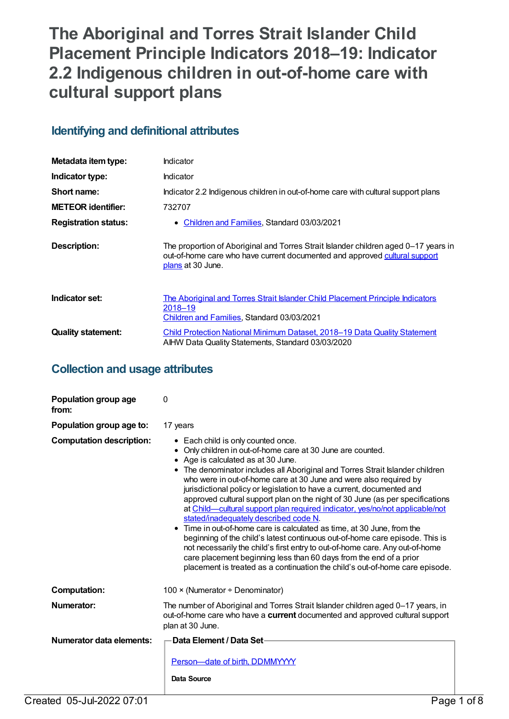# **The Aboriginal and Torres Strait Islander Child Placement Principle Indicators 2018–19: Indicator 2.2 Indigenous children in out-of-home care with cultural support plans**

# **Identifying and definitional attributes**

| Metadata item type:         | Indicator                                                                                                                                                                              |
|-----------------------------|----------------------------------------------------------------------------------------------------------------------------------------------------------------------------------------|
| Indicator type:             | Indicator                                                                                                                                                                              |
| Short name:                 | Indicator 2.2 Indigenous children in out-of-home care with cultural support plans                                                                                                      |
| <b>METEOR identifier:</b>   | 732707                                                                                                                                                                                 |
| <b>Registration status:</b> | Children and Families, Standard 03/03/2021<br>$\bullet$                                                                                                                                |
| <b>Description:</b>         | The proportion of Aboriginal and Torres Strait Islander children aged 0-17 years in<br>out-of-home care who have current documented and approved cultural support<br>plans at 30 June. |
| Indicator set:              | The Aboriginal and Torres Strait Islander Child Placement Principle Indicators<br>2018–19<br>Children and Families, Standard 03/03/2021                                                |
| <b>Quality statement:</b>   | <b>Child Protection National Minimum Dataset, 2018–19 Data Quality Statement</b><br>AIHW Data Quality Statements, Standard 03/03/2020                                                  |

# **Collection and usage attributes**

| Population group age<br>from:   | $\Omega$                                                                                                                                                                                                                                                                                                                                                                                                                                                                                                                                                                                                                                                                                                                                                                                                                                                                                                                                                                      |
|---------------------------------|-------------------------------------------------------------------------------------------------------------------------------------------------------------------------------------------------------------------------------------------------------------------------------------------------------------------------------------------------------------------------------------------------------------------------------------------------------------------------------------------------------------------------------------------------------------------------------------------------------------------------------------------------------------------------------------------------------------------------------------------------------------------------------------------------------------------------------------------------------------------------------------------------------------------------------------------------------------------------------|
| Population group age to:        | 17 years                                                                                                                                                                                                                                                                                                                                                                                                                                                                                                                                                                                                                                                                                                                                                                                                                                                                                                                                                                      |
| <b>Computation description:</b> | • Each child is only counted once.<br>Only children in out-of-home care at 30 June are counted.<br>Age is calculated as at 30 June.<br>• The denominator includes all Aboriginal and Torres Strait Islander children<br>who were in out-of-home care at 30 June and were also required by<br>jurisdictional policy or legislation to have a current, documented and<br>approved cultural support plan on the night of 30 June (as per specifications<br>at Child—cultural support plan required indicator, yes/no/not applicable/not<br>stated/inadequately described code N.<br>• Time in out-of-home care is calculated as time, at 30 June, from the<br>beginning of the child's latest continuous out-of-home care episode. This is<br>not necessarily the child's first entry to out-of-home care. Any out-of-home<br>care placement beginning less than 60 days from the end of a prior<br>placement is treated as a continuation the child's out-of-home care episode. |
| <b>Computation:</b>             | 100 × (Numerator ÷ Denominator)                                                                                                                                                                                                                                                                                                                                                                                                                                                                                                                                                                                                                                                                                                                                                                                                                                                                                                                                               |
| Numerator:                      | The number of Aboriginal and Torres Strait Islander children aged 0-17 years, in<br>out-of-home care who have a <b>current</b> documented and approved cultural support<br>plan at 30 June.                                                                                                                                                                                                                                                                                                                                                                                                                                                                                                                                                                                                                                                                                                                                                                                   |
| Numerator data elements:        | <b>Data Element / Data Set-</b><br>Person-date of birth, DDMMYYYY<br><b>Data Source</b>                                                                                                                                                                                                                                                                                                                                                                                                                                                                                                                                                                                                                                                                                                                                                                                                                                                                                       |
| Created 05-Jul-2022 07:01       | Page 1 of 8                                                                                                                                                                                                                                                                                                                                                                                                                                                                                                                                                                                                                                                                                                                                                                                                                                                                                                                                                                   |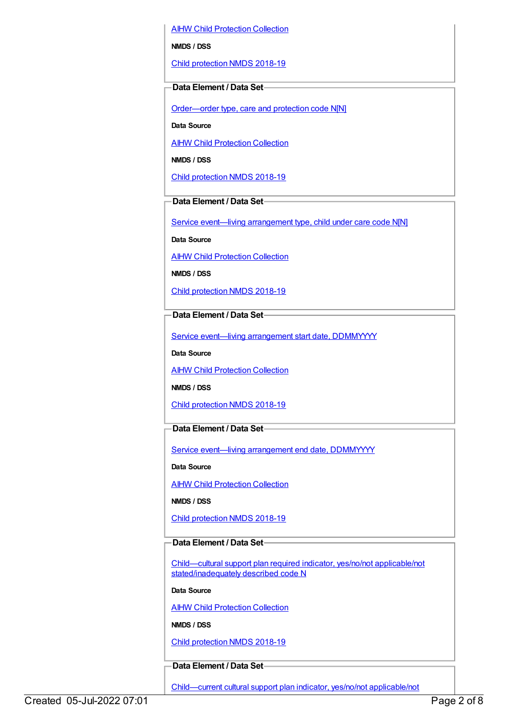AIHW Child [Protection](https://meteor.aihw.gov.au/content/489543) Collection

**NMDS / DSS**

Child [protection](https://meteor.aihw.gov.au/content/726951) NMDS 2018-19

#### **Data Element / Data Set**

[Order—order](https://meteor.aihw.gov.au/content/657300) type, care and protection code N[N]

**Data Source**

**AIHW Child [Protection](https://meteor.aihw.gov.au/content/489543) Collection** 

**NMDS / DSS**

Child [protection](https://meteor.aihw.gov.au/content/726951) NMDS 2018-19

### **Data Element / Data Set**

Service event—living [arrangement](https://meteor.aihw.gov.au/content/689331) type, child under care code N[N]

**Data Source**

AIHW Child [Protection](https://meteor.aihw.gov.au/content/489543) Collection

**NMDS / DSS**

Child [protection](https://meteor.aihw.gov.au/content/726951) NMDS 2018-19

**Data Element / Data Set**

Service event—living [arrangement](https://meteor.aihw.gov.au/content/474217) start date, DDMMYYYY

**Data Source**

**AIHW Child [Protection](https://meteor.aihw.gov.au/content/489543) Collection** 

**NMDS / DSS**

Child [protection](https://meteor.aihw.gov.au/content/726951) NMDS 2018-19

#### **Data Element / Data Set**

Service event-living [arrangement](https://meteor.aihw.gov.au/content/474223) end date, DDMMYYYY

**Data Source**

AIHW Child [Protection](https://meteor.aihw.gov.au/content/489543) Collection

**NMDS / DSS**

Child [protection](https://meteor.aihw.gov.au/content/726951) NMDS 2018-19

# **Data Element / Data Set**

Child—cultural support plan required indicator, yes/no/not applicable/not [stated/inadequately](https://meteor.aihw.gov.au/content/529655) described code N

**Data Source**

**AIHW Child [Protection](https://meteor.aihw.gov.au/content/489543) Collection** 

**NMDS / DSS**

Child [protection](https://meteor.aihw.gov.au/content/726951) NMDS 2018-19

#### **Data Element / Data Set**

[Child—current](https://meteor.aihw.gov.au/content/529663) cultural support plan indicator, yes/no/not applicable/not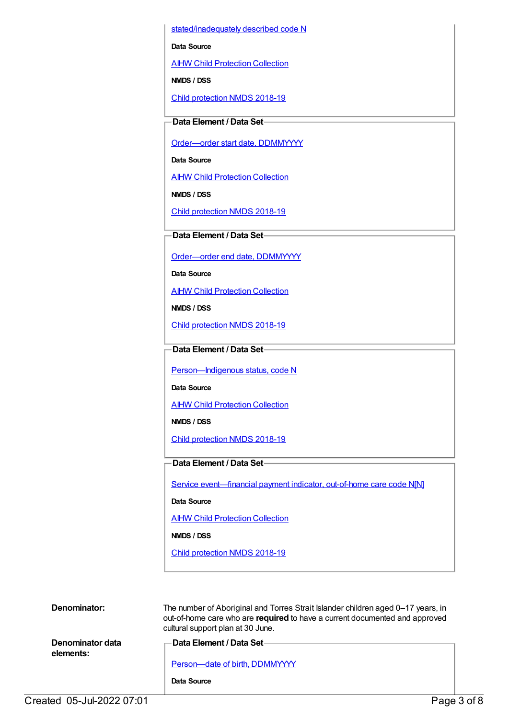stated/inadequately described code N

**Data Source**

**AIHW Child [Protection](https://meteor.aihw.gov.au/content/489543) Collection** 

**NMDS / DSS**

Child [protection](https://meteor.aihw.gov.au/content/726951) NMDS 2018-19

## **Data Element / Data Set**

Order-order start date, DDMMYYYY

**Data Source**

AIHW Child [Protection](https://meteor.aihw.gov.au/content/489543) Collection

**NMDS / DSS**

Child [protection](https://meteor.aihw.gov.au/content/726951) NMDS 2018-19

#### **Data Element / Data Set**

[Order—order](https://meteor.aihw.gov.au/content/536554) end date, DDMMYYYY

**Data Source**

**AIHW Child [Protection](https://meteor.aihw.gov.au/content/489543) Collection** 

**NMDS / DSS**

Child [protection](https://meteor.aihw.gov.au/content/726951) NMDS 2018-19

#### **Data Element / Data Set**

[Person—Indigenous](https://meteor.aihw.gov.au/content/602543) status, code N

**Data Source**

**AIHW Child [Protection](https://meteor.aihw.gov.au/content/489543) Collection** 

**NMDS / DSS**

Child [protection](https://meteor.aihw.gov.au/content/726951) NMDS 2018-19

#### **Data Element / Data Set**

Service event-financial payment indicator, out-of-home care code N[N]

**Data Source**

AIHW Child [Protection](https://meteor.aihw.gov.au/content/489543) Collection

**NMDS / DSS**

Child [protection](https://meteor.aihw.gov.au/content/726951) NMDS 2018-19

| Denominator:                  | The number of Aboriginal and Torres Strait Islander children aged 0-17 years, in<br>out-of-home care who are required to have a current documented and approved<br>cultural support plan at 30 June. |
|-------------------------------|------------------------------------------------------------------------------------------------------------------------------------------------------------------------------------------------------|
| Denominator data<br>elements: | —Data Element / Data Set-<br>Person-date of birth, DDMMYYYY                                                                                                                                          |
|                               | Data Source                                                                                                                                                                                          |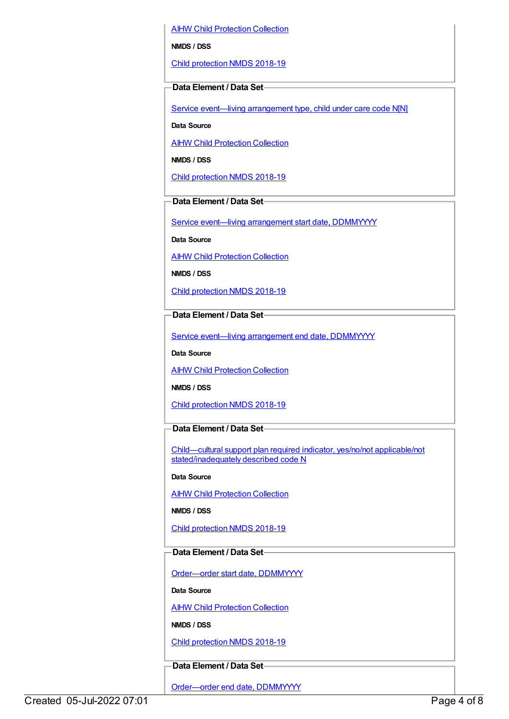AIHW Child [Protection](https://meteor.aihw.gov.au/content/489543) Collection

**NMDS / DSS**

Child [protection](https://meteor.aihw.gov.au/content/726951) NMDS 2018-19

#### **Data Element / Data Set**

Service event—living [arrangement](https://meteor.aihw.gov.au/content/689331) type, child under care code N[N]

**Data Source**

**AIHW Child [Protection](https://meteor.aihw.gov.au/content/489543) Collection** 

**NMDS / DSS**

Child [protection](https://meteor.aihw.gov.au/content/726951) NMDS 2018-19

#### **Data Element / Data Set**

Service event-living [arrangement](https://meteor.aihw.gov.au/content/474217) start date, DDMMYYYY

**Data Source**

AIHW Child [Protection](https://meteor.aihw.gov.au/content/489543) Collection

**NMDS / DSS**

Child [protection](https://meteor.aihw.gov.au/content/726951) NMDS 2018-19

#### **Data Element / Data Set**

Service event—living [arrangement](https://meteor.aihw.gov.au/content/474223) end date, DDMMYYYY

**Data Source**

**AIHW Child [Protection](https://meteor.aihw.gov.au/content/489543) Collection** 

**NMDS / DSS**

Child [protection](https://meteor.aihw.gov.au/content/726951) NMDS 2018-19

#### **Data Element / Data Set**

Child—cultural support plan required indicator, yes/no/not applicable/not [stated/inadequately](https://meteor.aihw.gov.au/content/529655) described code N

**Data Source**

**AIHW Child [Protection](https://meteor.aihw.gov.au/content/489543) Collection** 

**NMDS / DSS**

Child [protection](https://meteor.aihw.gov.au/content/726951) NMDS 2018-19

#### **Data Element / Data Set**

[Order—order](https://meteor.aihw.gov.au/content/536550) start date, DDMMYYYY

**Data Source**

**AIHW Child [Protection](https://meteor.aihw.gov.au/content/489543) Collection** 

**NMDS / DSS**

Child [protection](https://meteor.aihw.gov.au/content/726951) NMDS 2018-19

### **Data Element / Data Set**

[Order—order](https://meteor.aihw.gov.au/content/536554) end date, DDMMYYYY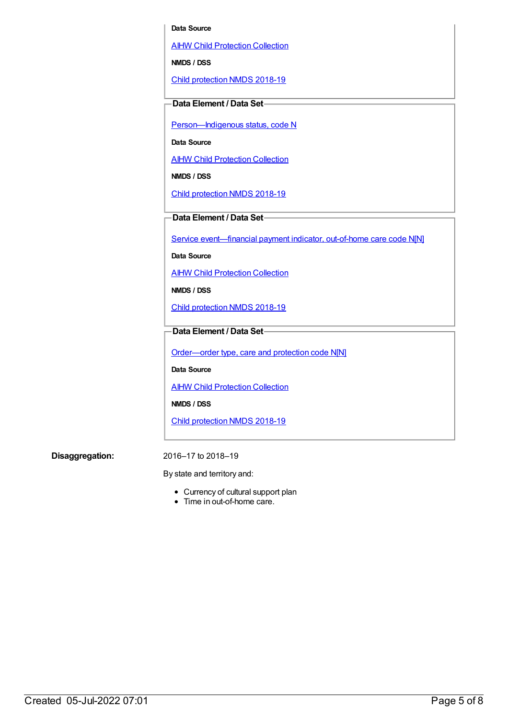#### **Data Source**

AIHW Child [Protection](https://meteor.aihw.gov.au/content/489543) Collection

**NMDS / DSS**

Child [protection](https://meteor.aihw.gov.au/content/726951) NMDS 2018-19

#### **Data Element / Data Set**

Person-Indigenous status, code N

**Data Source**

AIHW Child [Protection](https://meteor.aihw.gov.au/content/489543) Collection

**NMDS / DSS**

Child [protection](https://meteor.aihw.gov.au/content/726951) NMDS 2018-19

**Data Element / Data Set**

Service [event—financial](https://meteor.aihw.gov.au/content/652697) payment indicator, out-of-home care code N[N]

**Data Source**

**AIHW Child [Protection](https://meteor.aihw.gov.au/content/489543) Collection** 

**NMDS / DSS**

Child [protection](https://meteor.aihw.gov.au/content/726951) NMDS 2018-19

### **Data Element / Data Set**

[Order—order](https://meteor.aihw.gov.au/content/657300) type, care and protection code N[N]

**Data Source**

**AIHW Child [Protection](https://meteor.aihw.gov.au/content/489543) Collection** 

**NMDS / DSS**

Child [protection](https://meteor.aihw.gov.au/content/726951) NMDS 2018-19

**Disaggregation:** 2016–17 to 2018–19

By state and territory and:

- Currency of cultural support plan
- Time in out-of-home care.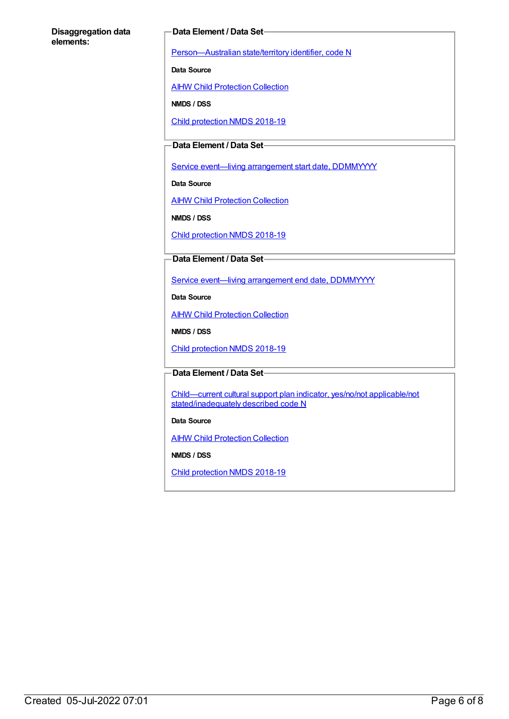#### **Disaggregation data elements:**

#### **Data Element / Data Set**

[Person—Australian](https://meteor.aihw.gov.au/content/286919) state/territory identifier, code N

**Data Source**

**AIHW Child [Protection](https://meteor.aihw.gov.au/content/489543) Collection** 

**NMDS / DSS**

Child [protection](https://meteor.aihw.gov.au/content/726951) NMDS 2018-19

# **Data Element / Data Set**

Service event-living [arrangement](https://meteor.aihw.gov.au/content/474217) start date, DDMMYYYY

**Data Source**

**AIHW Child [Protection](https://meteor.aihw.gov.au/content/489543) Collection** 

**NMDS / DSS**

Child [protection](https://meteor.aihw.gov.au/content/726951) NMDS 2018-19

#### **Data Element / Data Set**

Service event—living [arrangement](https://meteor.aihw.gov.au/content/474223) end date, DDMMYYYY

**Data Source**

**AIHW Child [Protection](https://meteor.aihw.gov.au/content/489543) Collection** 

**NMDS / DSS**

Child [protection](https://meteor.aihw.gov.au/content/726951) NMDS 2018-19

#### **Data Element / Data Set**

Child—current cultural support plan indicator, yes/no/not applicable/not [stated/inadequately](https://meteor.aihw.gov.au/content/529663) described code N

#### **Data Source**

**AIHW Child [Protection](https://meteor.aihw.gov.au/content/489543) Collection** 

**NMDS / DSS**

Child [protection](https://meteor.aihw.gov.au/content/726951) NMDS 2018-19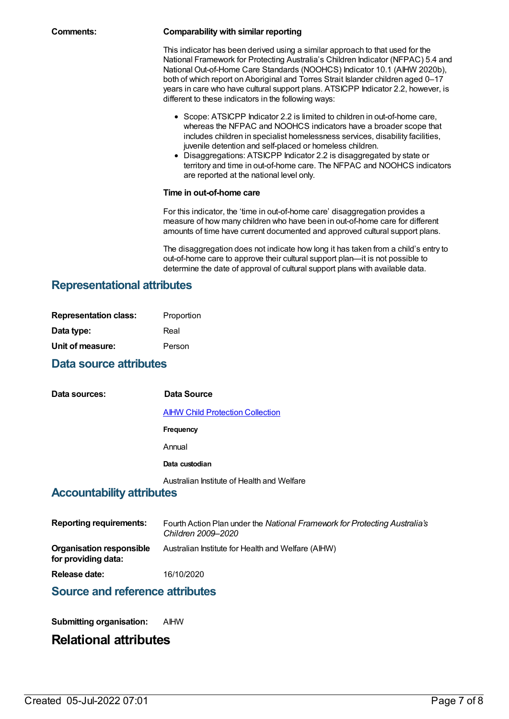#### **Comments: Comparability with similar reporting**

This indicator has been derived using a similar approach to that used for the National Framework for Protecting Australia's Children Indicator (NFPAC) 5.4 and National Out-of-Home Care Standards (NOOHCS) Indicator 10.1 (AIHW 2020b), both of which report on Aboriginal and Torres Strait Islander children aged 0-17 years in care who have cultural support plans. ATSICPP Indicator 2.2, however, is different to these indicators in the following ways:

- Scope: ATSICPP Indicator 2.2 is limited to children in out-of-home care, whereas the NFPAC and NOOHCS indicators have a broader scope that includes children in specialist homelessness services, disability facilities, juvenile detention and self-placed or homeless children.
- Disaggregations: ATSICPP Indicator 2.2 is disaggregated by state or territory and time in out-of-home care. The NFPAC and NOOHCS indicators are reported at the national level only.

#### **Time in out-of-home care**

For this indicator, the 'time in out-of-home care' disaggregation provides a measure of how many children who have been in out-of-home care for different amounts of time have current documented and approved cultural support plans.

The disaggregation does not indicate how long it has taken from a child's entry to out-of-home care to approve their cultural support plan—it is not possible to determine the date of approval of cultural support plans with available data.

# **Representational attributes**

| <b>Representation class:</b> | Proportion |
|------------------------------|------------|
| Data type:                   | Real       |
| Unit of measure:             | Person     |

# **Data source attributes**

**Data sources: Data Source** AIHW Child [Protection](https://meteor.aihw.gov.au/content/489543) Collection **Frequency** Annual **Data custodian** Australian Institute of Health and Welfare

# **Accountability attributes**

| <b>Reporting requirements:</b>                  | Fourth Action Plan under the National Framework for Protecting Australia's<br>Children 2009–2020 |
|-------------------------------------------------|--------------------------------------------------------------------------------------------------|
| Organisation responsible<br>for providing data: | Australian Institute for Health and Welfare (AIHW)                                               |
| Release date:                                   | 16/10/2020                                                                                       |

# **Source and reference attributes**

**Submitting organisation:** AIHW

# **Relational attributes**